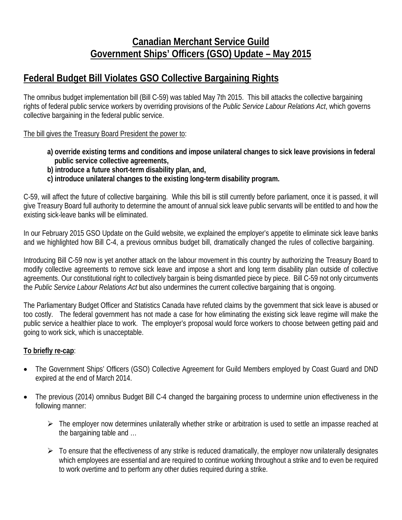## **Canadian Merchant Service Guild Government Ships' Officers (GSO) Update – May 2015**

## **Federal Budget Bill Violates GSO Collective Bargaining Rights**

The omnibus budget implementation bill (Bill C-59) was tabled May 7th 2015. This bill attacks the collective bargaining rights of federal public service workers by overriding provisions of the *Public Service Labour Relations Act*, which governs collective bargaining in the federal public service.

The bill gives the Treasury Board President the power to:

- **a) override existing terms and conditions and impose unilateral changes to sick leave provisions in federal public service collective agreements,**
- **b) introduce a future short-term disability plan, and,**
- **c) introduce unilateral changes to the existing long-term disability program.**

C-59, will affect the future of collective bargaining. While this bill is still currently before parliament, once it is passed, it will give Treasury Board full authority to determine the amount of annual sick leave public servants will be entitled to and how the existing sick-leave banks will be eliminated.

In our February 2015 GSO Update on the Guild website, we explained the employer's appetite to eliminate sick leave banks and we highlighted how Bill C-4, a previous omnibus budget bill, dramatically changed the rules of collective bargaining.

Introducing Bill C-59 now is yet another attack on the labour movement in this country by authorizing the Treasury Board to modify collective agreements to remove sick leave and impose a short and long term disability plan outside of collective agreements. Our constitutional right to collectively bargain is being dismantled piece by piece. Bill C-59 not only circumvents the *Public Service Labour Relations Act* but also undermines the current collective bargaining that is ongoing.

The Parliamentary Budget Officer and Statistics Canada have refuted claims by the government that sick leave is abused or too costly. The federal government has not made a case for how eliminating the existing sick leave regime will make the public service a healthier place to work. The employer's proposal would force workers to choose between getting paid and going to work sick, which is unacceptable.

## **To briefly re-cap**:

- The Government Ships' Officers (GSO) Collective Agreement for Guild Members employed by Coast Guard and DND expired at the end of March 2014.
- The previous (2014) omnibus Budget Bill C-4 changed the bargaining process to undermine union effectiveness in the following manner:
	- $\triangleright$  The employer now determines unilaterally whether strike or arbitration is used to settle an impasse reached at the bargaining table and …
	- $\triangleright$  To ensure that the effectiveness of any strike is reduced dramatically, the employer now unilaterally designates which employees are essential and are required to continue working throughout a strike and to even be required to work overtime and to perform any other duties required during a strike.